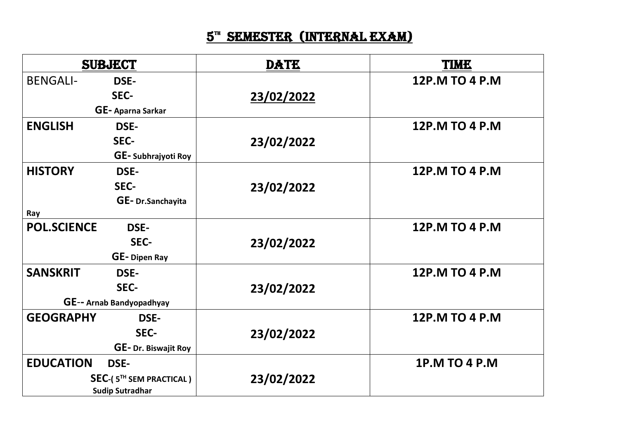## $\mathbf{5}^{\mathrm{m}}$  Semester (Internal exam)

| <b>SUBJECT</b>                                    |                     | <b>DATE</b> | <b>TIME</b>          |
|---------------------------------------------------|---------------------|-------------|----------------------|
| <b>BENGALI-</b>                                   | <b>DSE-</b>         |             | 12P.M TO 4 P.M       |
|                                                   | SEC-                | 23/02/2022  |                      |
| GE-Aparna Sarkar                                  |                     |             |                      |
| <b>ENGLISH</b>                                    | <b>DSE-</b>         |             | 12P.M TO 4 P.M       |
|                                                   | SEC-                | 23/02/2022  |                      |
|                                                   | GE-Subhrajyoti Roy  |             |                      |
| <b>HISTORY</b>                                    | <b>DSE-</b>         |             | 12P.M TO 4 P.M       |
|                                                   | SEC-                | 23/02/2022  |                      |
|                                                   | GE-Dr.Sanchayita    |             |                      |
| Ray                                               |                     |             |                      |
| <b>POL.SCIENCE</b>                                | <b>DSE-</b>         |             | 12P.M TO 4 P.M       |
|                                                   | SEC-                | 23/02/2022  |                      |
|                                                   | <b>GE-Dipen Ray</b> |             |                      |
| <b>SANSKRIT</b>                                   | <b>DSE-</b>         |             | 12P.M TO 4 P.M       |
|                                                   | SEC-                | 23/02/2022  |                      |
| GE-- Arnab Bandyopadhyay                          |                     |             |                      |
| <b>GEOGRAPHY</b>                                  | <b>DSE-</b>         |             | 12P.M TO 4 P.M       |
|                                                   | SEC-                | 23/02/2022  |                      |
|                                                   | GE-Dr. Biswajit Roy |             |                      |
| <b>EDUCATION</b>                                  | <b>DSE-</b>         |             | <b>1P.M TO 4 P.M</b> |
| SEC-(5TH SEM PRACTICAL)<br><b>Sudip Sutradhar</b> |                     | 23/02/2022  |                      |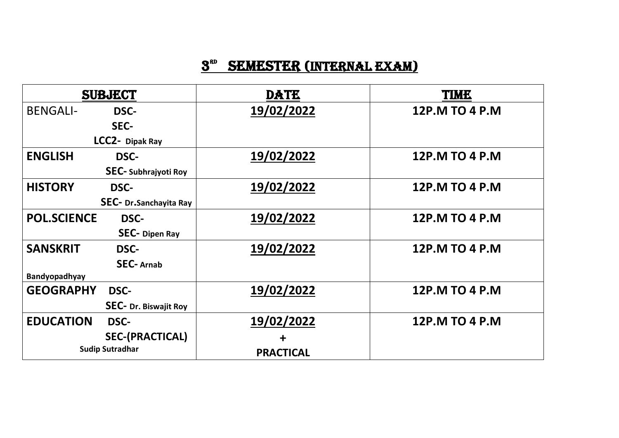## $3<sup>3D</sup>$  SEMESTER (INTERNAL EXAM)

| <b>SUBJECT</b>                  | <b>DATE</b>      | TIME           |
|---------------------------------|------------------|----------------|
| <b>BENGALI-</b><br><b>DSC-</b>  | 19/02/2022       | 12P.M TO 4 P.M |
| SEC-                            |                  |                |
| LCC2- Dipak Ray                 |                  |                |
| <b>ENGLISH</b><br><b>DSC-</b>   | 19/02/2022       | 12P.M TO 4 P.M |
| <b>SEC-</b> Subhrajyoti Roy     |                  |                |
| <b>HISTORY</b><br><b>DSC-</b>   | 19/02/2022       | 12P.M TO 4 P.M |
| SEC- Dr.Sanchayita Ray          |                  |                |
| <b>POL.SCIENCE</b><br>DSC-      | 19/02/2022       | 12P.M TO 4 P.M |
| <b>SEC-</b> Dipen Ray           |                  |                |
| <b>SANSKRIT</b><br><b>DSC-</b>  | 19/02/2022       | 12P.M TO 4 P.M |
| <b>SEC-Arnab</b>                |                  |                |
| Bandyopadhyay                   |                  |                |
| <b>GEOGRAPHY</b><br><b>DSC-</b> | 19/02/2022       | 12P.M TO 4 P.M |
| <b>SEC- Dr. Biswajit Roy</b>    |                  |                |
| <b>EDUCATION</b><br>DSC-        | 19/02/2022       | 12P.M TO 4 P.M |
| <b>SEC-(PRACTICAL)</b>          | ╋                |                |
| <b>Sudip Sutradhar</b>          | <b>PRACTICAL</b> |                |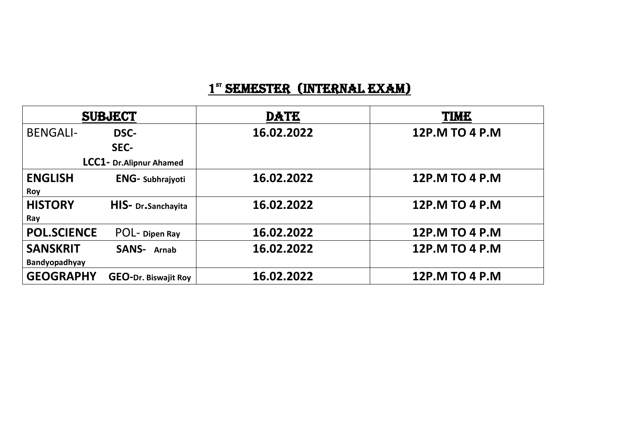## 1<sup>st</sup> SEMESTER (INTERNAL EXAM)

| <b>SUBJECT</b>           |                             | <b>DATE</b> | <b>TIME</b>    |
|--------------------------|-----------------------------|-------------|----------------|
| <b>BENGALI-</b>          | DSC-                        | 16.02.2022  | 12P.M TO 4 P.M |
|                          | SEC-                        |             |                |
| LCC1- Dr. Alipnur Ahamed |                             |             |                |
| <b>ENGLISH</b>           | <b>ENG-Subhrajyoti</b>      | 16.02.2022  | 12P.M TO 4 P.M |
| <b>Roy</b>               |                             |             |                |
| <b>HISTORY</b>           | HIS- Dr.Sanchayita          | 16.02.2022  | 12P.M TO 4 P.M |
| Ray                      |                             |             |                |
| <b>POL.SCIENCE</b>       | POL-Dipen Ray               | 16.02.2022  | 12P.M TO 4 P.M |
| <b>SANSKRIT</b>          | <b>SANS-</b> Arnab          | 16.02.2022  | 12P.M TO 4 P.M |
| Bandyopadhyay            |                             |             |                |
| <b>GEOGRAPHY</b>         | <b>GEO-Dr. Biswajit Roy</b> | 16.02.2022  | 12P.M TO 4 P.M |